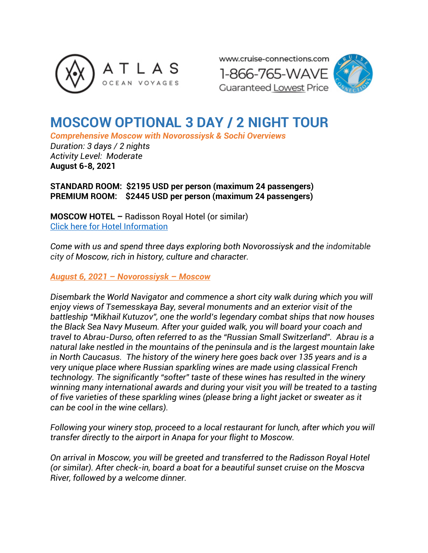



# **MOSCOW OPTIONAL 3 DAY / 2 NIGHT TOUR**

*Comprehensive Moscow with Novorossiysk & Sochi Overviews*

*Duration: 3 days / 2 nights Activity Level: Moderate* **August 6-8, 2021**

**STANDARD ROOM: \$2195 USD per person (maximum 24 passengers) PREMIUM ROOM: \$2445 USD per person (maximum 24 passengers)**

**MOSCOW HOTEL –** Radisson Royal Hotel (or similar) [Click here for Hotel Information](https://www.radissonhotels.com/ru-ru/hotels/radisson-collection-moscow?cid=a:se+b:gmb+c:emea+i:local+e:rco+d:eerut+h:MOWZK&dclid=CjkKEQiA_9r_BRCGqpOF3crG3uABEiQAVwsSIJAyZ6JBaQdih2ZZit94JmnoSHM5O7meqbg9iUI_F4fw_wcB)

*Come with us and spend three days exploring both Novorossiysk and the indomitable city of Moscow, rich in history, culture and character.*

*August 6, 2021 – Novorossiysk – Moscow*

*Disembark the World Navigator and commence a short city walk during which you will enjoy views of Tsemesskaya Bay, several monuments and an exterior visit of the battleship "Mikhail Kutuzov", one the world's legendary combat ships that now houses the Black Sea Navy Museum. After your guided walk, you will board your coach and travel to Abrau-Durso, often referred to as the "Russian Small Switzerland". Abrau is a natural lake nestled in the mountains of the peninsula and is the largest mountain lake in North Caucasus. The history of the winery here goes back over 135 years and is a very unique place where Russian sparkling wines are made using classical French technology. The significantly "softer" taste of these wines has resulted in the winery winning many international awards and during your visit you will be treated to a tasting of five varieties of these sparkling wines (please bring a light jacket or sweater as it can be cool in the wine cellars).*

*Following your winery stop, proceed to a local restaurant for lunch, after which you will transfer directly to the airport in Anapa for your flight to Moscow.* 

*On arrival in Moscow, you will be greeted and transferred to the Radisson Royal Hotel (or similar). After check-in, board a boat for a beautiful sunset cruise on the Moscva River, followed by a welcome dinner.*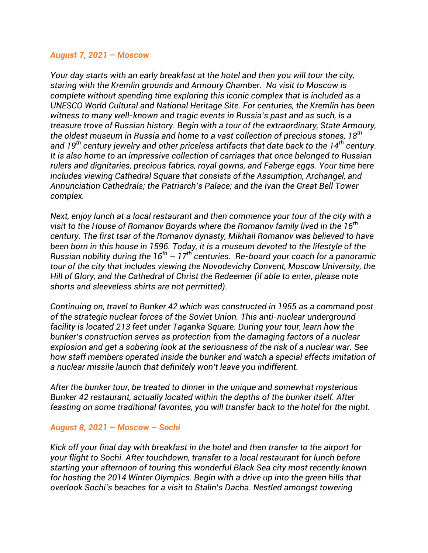#### *August 7, 2021 – Moscow*

*Your day starts with an early breakfast at the hotel and then you will tour the city, staring with the Kremlin grounds and Armoury Chamber. No visit to Moscow is complete without spending time exploring this iconic complex that is included as a UNESCO World Cultural and National Heritage Site. For centuries, the Kremlin has been witness to many well-known and tragic events in Russia's past and as such, is a treasure trove of Russian history. Begin with a tour of the extraordinary, State Armoury, the oldest museum in Russia and home to a vast collection of precious stones, 18th and 19th century jewelry and other priceless artifacts that date back to the 14th century. It is also home to an impressive collection of carriages that once belonged to Russian rulers and dignitaries, precious fabrics, royal gowns, and Faberge eggs. Your time here includes viewing Cathedral Square that consists of the Assumption, Archangel, and Annunciation Cathedrals; the Patriarch's Palace; and the Ivan the Great Bell Tower complex.* 

*Next, enjoy lunch at a local restaurant and then commence your tour of the city with a visit to the House of Romanov Boyards where the Romanov family lived in the 16th century. The first tsar of the Romanov dynasty, Mikhail Romanov was believed to have been born in this house in 1596. Today, it is a museum devoted to the lifestyle of the Russian nobility during the 16th – 17th centuries. Re-board your coach for a panoramic tour of the city that includes viewing the Novodevichy Convent, Moscow University, the Hill of Glory, and the Cathedral of Christ the Redeemer (if able to enter, please note shorts and sleeveless shirts are not permitted).* 

*Continuing on, travel to Bunker 42 which was constructed in 1955 as a command post of the strategic nuclear forces of the Soviet Union. This anti-nuclear underground facility is located 213 feet under Taganka Square. During your tour, learn how the bunker's construction serves as protection from the damaging factors of a nuclear explosion and get a sobering look at the seriousness of the risk of a nuclear war. See how staff members operated inside the bunker and watch a special effects imitation of a nuclear missile launch that definitely won't leave you indifferent.* 

*After the bunker tour, be treated to dinner in the unique and somewhat mysterious Bunker 42 restaurant, actually located within the depths of the bunker itself. After feasting on some traditional favorites, you will transfer back to the hotel for the night.* 

### *August 8, 2021 – Moscow – Sochi*

*Kick off your final day with breakfast in the hotel and then transfer to the airport for your flight to Sochi. After touchdown, transfer to a local restaurant for lunch before starting your afternoon of touring this wonderful Black Sea city most recently known for hosting the 2014 Winter Olympics. Begin with a drive up into the green hills that overlook Sochi's beaches for a visit to Stalin's Dacha. Nestled amongst towering*